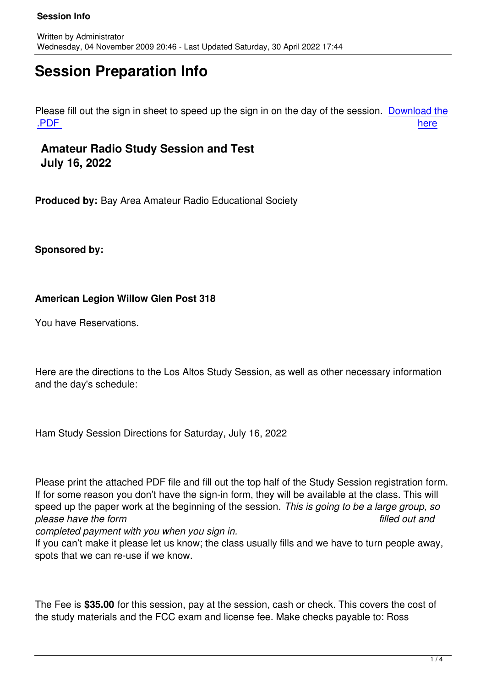# **Session Preparation Info**

Please fill out the sign in sheet to speed up the sign in on the day of the session. Download the .<mark>PDF</mark> here are the contract of the contract of the contract of the contract of the contract of the contract of the

## **Amateur Radio Study Session and Test [July](files/Signin.pdf) 16, 2022**

**Produced by:** Bay Area Amateur Radio Educational Society

**Sponsored by:** 

### **American Legion Willow Glen Post 318**

You have Reservations.

Here are the directions to the Los Altos Study Session, as well as other necessary information and the day's schedule:

Ham Study Session Directions for Saturday, July 16, 2022

Please print the attached PDF file and fill out the top half of the Study Session registration form. If for some reason you don't have the sign-in form, they will be available at the class. This will speed up the paper work at the beginning of the session. *This is going to be a large group, so please have the form filled out and*

*completed payment with you when you sign in.*

If you can't make it please let us know; the class usually fills and we have to turn people away, spots that we can re-use if we know.

The Fee is **\$35.00** for this session, pay at the session, cash or check. This covers the cost of the study materials and the FCC exam and license fee. Make checks payable to: Ross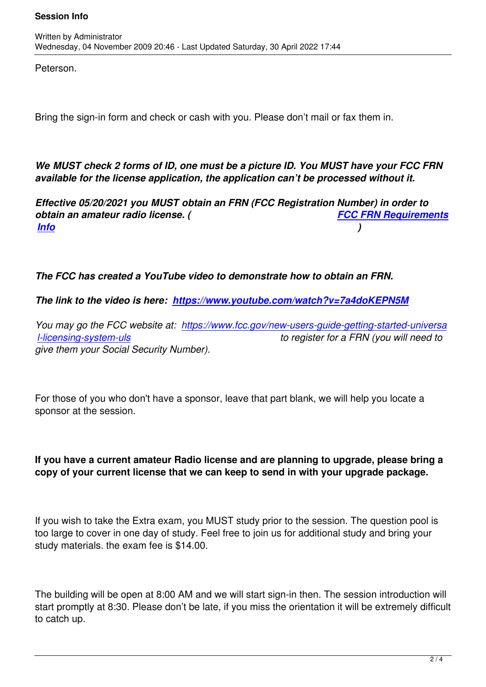Peterson.

Bring the sign-in form and check or cash with you. Please don't mail or fax them in.

*We MUST check 2 forms of ID, one must be a picture ID. You MUST have your FCC FRN available for the license application, the application can't be processed without it.*

*Effective 05/20/2021 you MUST obtain an FRN (FCC Registration Number) in order to obtain an amateur radio license. ( FCC FRN Requirements Info )* 

*[The](index.php?option=com_content&view=article&id=98&Itemid=89) FCC has created a YouTube video to demonstrate how to obtain an FRN.*

*The link to the video is here: https://www.youtube.com/watch?v=7a4doKEPN5M*

*You may go the FCC website at: https://www.fcc.gov/new-users-guide-getting-started-universa l-licensing-system-uls to register for a FRN (you will need to give them your Social Security Number).*

For those of you who don't have a sponsor, leave that part blank, we will help you locate a sponsor at the session.

#### **If you have a current amateur Radio license and are planning to upgrade, please bring a copy of your current license that we can keep to send in with your upgrade package.**

If you wish to take the Extra exam, you MUST study prior to the session. The question pool is too large to cover in one day of study. Feel free to join us for additional study and bring your study materials. the exam fee is \$14.00.

The building will be open at 8:00 AM and we will start sign-in then. The session introduction will start promptly at 8:30. Please don't be late, if you miss the orientation it will be extremely difficult to catch up.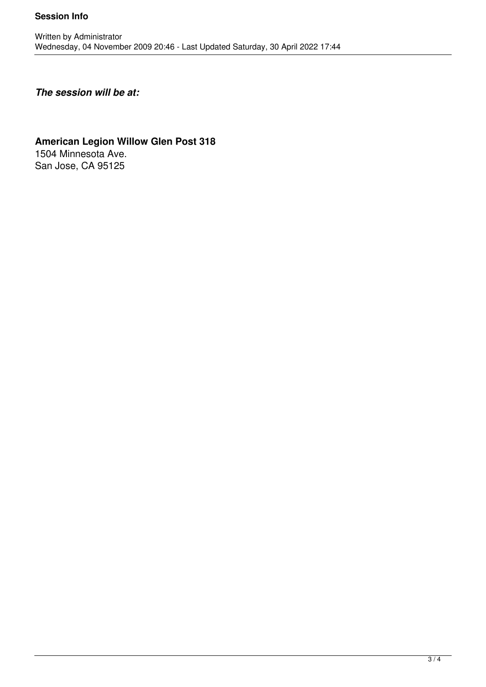#### **Session Info**

## *The session will be at:*

#### **American Legion Willow Glen Post 318** 1504 Minnesota Ave. San Jose, CA 95125